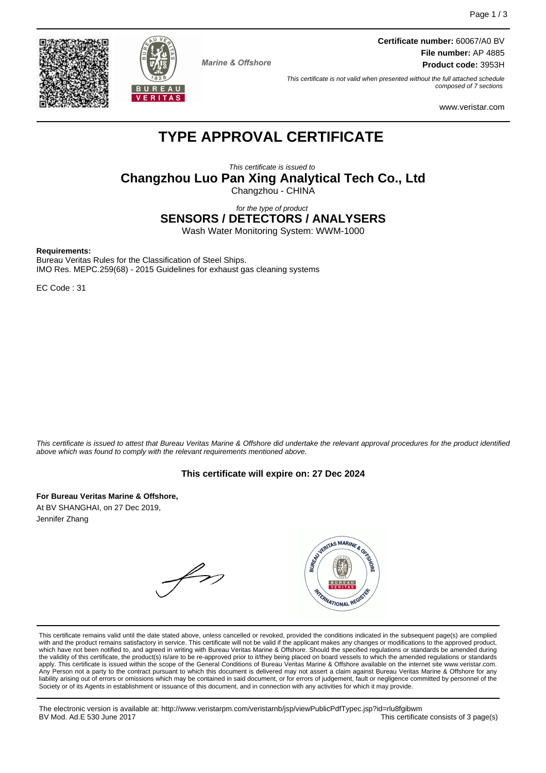



**Marine & Offshore** 

**Certificate number:** 60067/A0 BV **File number:** AP 4885 **Product code:** 3953H

This certificate is not valid when presented without the full attached schedule composed of 7 sections

www.veristar.com

# **TYPE APPROVAL CERTIFICATE**

This certificate is issued to **Changzhou Luo Pan Xing Analytical Tech Co., Ltd** Changzhou - CHINA

for the type of product **SENSORS / DETECTORS / ANALYSERS**

Wash Water Monitoring System: WWM-1000

#### **Requirements:**

Bureau Veritas Rules for the Classification of Steel Ships. IMO Res. MEPC.259(68) - 2015 Guidelines for exhaust gas cleaning systems

EC Code : 31

This certificate is issued to attest that Bureau Veritas Marine & Offshore did undertake the relevant approval procedures for the product identified above which was found to comply with the relevant requirements mentioned above.

#### **This certificate will expire on: 27 Dec 2024**

**For Bureau Veritas Marine & Offshore,** At BV SHANGHAI, on 27 Dec 2019, Jennifer Zhang

WARTAS MARINE & OR  $\not\leftrightarrow$ FRANATIONAL REGI

This certificate remains valid until the date stated above, unless cancelled or revoked, provided the conditions indicated in the subsequent page(s) are complied with and the product remains satisfactory in service. This certificate will not be valid if the applicant makes any changes or modifications to the approved product, which have not been notified to, and agreed in writing with Bureau Veritas Marine & Offshore. Should the specified regulations or standards be amended during<br>the validity of this certificate, the product(s) is/are to be re apply. This certificate is issued within the scope of the General Conditions of Bureau Veritas Marine & Offshore available on the internet site www.veristar.com. Any Person not a party to the contract pursuant to which this document is delivered may not assert a claim against Bureau Veritas Marine & Offshore for any liability arising out of errors or omissions which may be contained in said document, or for errors of judgement, fault or negligence committed by personnel of the<br>Society or of its Agents in establishment or issuance of t

The electronic version is available at: http://www.veristarpm.com/veristarnb/jsp/viewPublicPdfTypec.jsp?id=rlu8fgibwm This certificate consists of 3 page(s)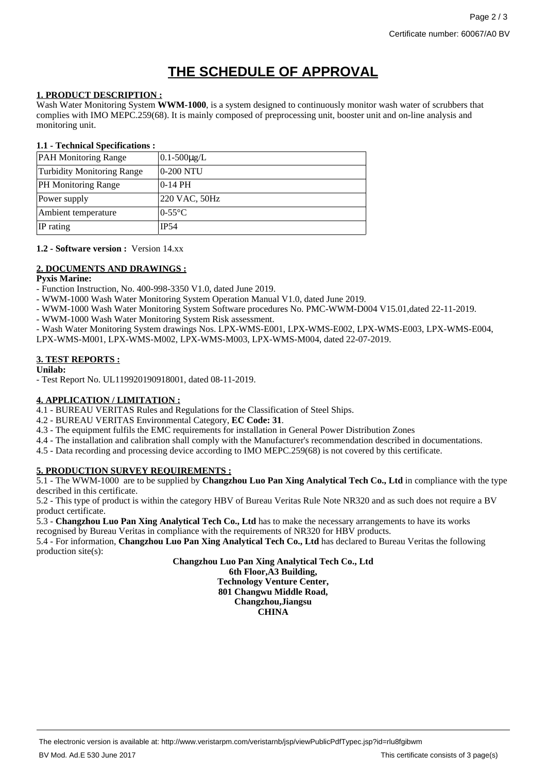# **THE SCHEDULE OF APPROVAL**

### **1. PRODUCT DESCRIPTION :**

Wash Water Monitoring System **WWM-1000**, is a system designed to continuously monitor wash water of scrubbers that complies with IMO MEPC.259(68). It is mainly composed of preprocessing unit, booster unit and on-line analysis and monitoring unit.

### **1.1 - Technical Specifications :**

| <b>PAH Monitoring Range</b>       | $0.1 - 500 \mu g/L$ |
|-----------------------------------|---------------------|
| <b>Turbidity Monitoring Range</b> | 0-200 NTU           |
| <b>PH Monitoring Range</b>        | $0-14$ PH           |
| Power supply                      | 220 VAC, 50Hz       |
| Ambient temperature               | $0-55^{\circ}$ C    |
| IP rating                         | IP54                |

#### **1.2 - Software version :** Version 14.xx

# **2. DOCUMENTS AND DRAWINGS :**

#### **Pyxis Marine:**

- Function Instruction, No. 400-998-3350 V1.0, dated June 2019.

- WWM-1000 Wash Water Monitoring System Operation Manual V1.0, dated June 2019.
- WWM-1000 Wash Water Monitoring System Software procedures No. PMC-WWM-D004 V15.01,dated 22-11-2019.
- WWM-1000 Wash Water Monitoring System Risk assessment.
- Wash Water Monitoring System drawings Nos. LPX-WMS-E001, LPX-WMS-E002, LPX-WMS-E003, LPX-WMS-E004,

LPX-WMS-M001, LPX-WMS-M002, LPX-WMS-M003, LPX-WMS-M004, dated 22-07-2019.

# **3. TEST REPORTS :**

#### **Unilab:**

- Test Report No. UL119920190918001, dated 08-11-2019.

# **4. APPLICATION / LIMITATION :**

4.1 - BUREAU VERITAS Rules and Regulations for the Classification of Steel Ships.

- 4.2 BUREAU VERITAS Environmental Category, **EC Code: 31**.
- 4.3 The equipment fulfils the EMC requirements for installation in General Power Distribution Zones
- 4.4 The installation and calibration shall comply with the Manufacturer's recommendation described in documentations.
- 4.5 Data recording and processing device according to IMO MEPC.259(68) is not covered by this certificate.

# **5. PRODUCTION SURVEY REQUIREMENTS :**

5.1 - The WWM-1000 are to be supplied by **Changzhou Luo Pan Xing Analytical Tech Co., Ltd** in compliance with the type described in this certificate.

5.2 - This type of product is within the category HBV of Bureau Veritas Rule Note NR320 and as such does not require a BV product certificate.

5.3 - **Changzhou Luo Pan Xing Analytical Tech Co., Ltd** has to make the necessary arrangements to have its works recognised by Bureau Veritas in compliance with the requirements of NR320 for HBV products.

5.4 - For information, **Changzhou Luo Pan Xing Analytical Tech Co., Ltd** has declared to Bureau Veritas the following production site(s):

> **Changzhou Luo Pan Xing Analytical Tech Co., Ltd 6th Floor,A3 Building, Technology Venture Center, 801 Changwu Middle Road, Changzhou,Jiangsu CHINA**